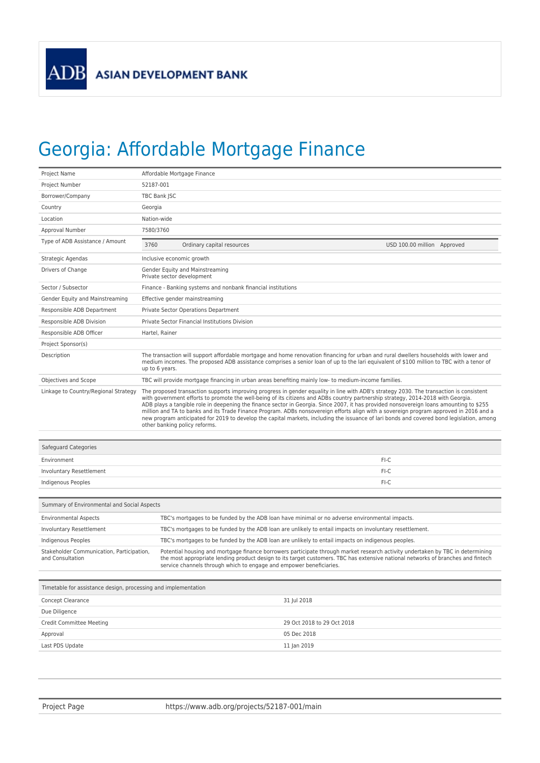## Georgia: Affordable Mortgage Finance

| Project Name                                                   | Affordable Mortgage Finance                                                                                                                                                                                                                                                                                                                                                                                                                                                                                                                                                                                                                                                                                                                    |  |
|----------------------------------------------------------------|------------------------------------------------------------------------------------------------------------------------------------------------------------------------------------------------------------------------------------------------------------------------------------------------------------------------------------------------------------------------------------------------------------------------------------------------------------------------------------------------------------------------------------------------------------------------------------------------------------------------------------------------------------------------------------------------------------------------------------------------|--|
| Project Number                                                 | 52187-001                                                                                                                                                                                                                                                                                                                                                                                                                                                                                                                                                                                                                                                                                                                                      |  |
| Borrower/Company                                               | TBC Bank JSC                                                                                                                                                                                                                                                                                                                                                                                                                                                                                                                                                                                                                                                                                                                                   |  |
| Country                                                        | Georgia                                                                                                                                                                                                                                                                                                                                                                                                                                                                                                                                                                                                                                                                                                                                        |  |
| Location                                                       | Nation-wide                                                                                                                                                                                                                                                                                                                                                                                                                                                                                                                                                                                                                                                                                                                                    |  |
| Approval Number                                                | 7580/3760                                                                                                                                                                                                                                                                                                                                                                                                                                                                                                                                                                                                                                                                                                                                      |  |
| Type of ADB Assistance / Amount                                | 3760<br>Ordinary capital resources<br>USD 100.00 million Approved                                                                                                                                                                                                                                                                                                                                                                                                                                                                                                                                                                                                                                                                              |  |
| Strategic Agendas                                              | Inclusive economic growth                                                                                                                                                                                                                                                                                                                                                                                                                                                                                                                                                                                                                                                                                                                      |  |
| Drivers of Change                                              | Gender Equity and Mainstreaming<br>Private sector development                                                                                                                                                                                                                                                                                                                                                                                                                                                                                                                                                                                                                                                                                  |  |
| Sector / Subsector                                             | Finance - Banking systems and nonbank financial institutions                                                                                                                                                                                                                                                                                                                                                                                                                                                                                                                                                                                                                                                                                   |  |
| Gender Equity and Mainstreaming                                | Effective gender mainstreaming                                                                                                                                                                                                                                                                                                                                                                                                                                                                                                                                                                                                                                                                                                                 |  |
| Responsible ADB Department                                     | Private Sector Operations Department                                                                                                                                                                                                                                                                                                                                                                                                                                                                                                                                                                                                                                                                                                           |  |
| Responsible ADB Division                                       | Private Sector Financial Institutions Division                                                                                                                                                                                                                                                                                                                                                                                                                                                                                                                                                                                                                                                                                                 |  |
| Responsible ADB Officer                                        | Hartel, Rainer                                                                                                                                                                                                                                                                                                                                                                                                                                                                                                                                                                                                                                                                                                                                 |  |
| Project Sponsor(s)                                             |                                                                                                                                                                                                                                                                                                                                                                                                                                                                                                                                                                                                                                                                                                                                                |  |
| Description                                                    | The transaction will support affordable mortgage and home renovation financing for urban and rural dwellers households with lower and<br>medium incomes. The proposed ADB assistance comprises a senior loan of up to the lari equivalent of \$100 million to TBC with a tenor of<br>up to 6 years.                                                                                                                                                                                                                                                                                                                                                                                                                                            |  |
| Objectives and Scope                                           | TBC will provide mortgage financing in urban areas benefiting mainly low- to medium-income families.                                                                                                                                                                                                                                                                                                                                                                                                                                                                                                                                                                                                                                           |  |
| Linkage to Country/Regional Strategy                           | The proposed transaction supports improving progress in gender equality in line with ADB's strategy 2030. The transaction is consistent<br>with government efforts to promote the well-being of its citizens and ADBs country partnership strategy, 2014-2018 with Georgia.<br>ADB plays a tangible role in deepening the finance sector in Georgia. Since 2007, it has provided nonsovereign loans amounting to \$255<br>million and TA to banks and its Trade Finance Program. ADBs nonsovereign efforts align with a sovereign program approved in 2016 and a<br>new program anticipated for 2019 to develop the capital markets, including the issuance of lari bonds and covered bond legislation, among<br>other banking policy reforms. |  |
| Safeguard Categories                                           |                                                                                                                                                                                                                                                                                                                                                                                                                                                                                                                                                                                                                                                                                                                                                |  |
| Environment                                                    | FI-C                                                                                                                                                                                                                                                                                                                                                                                                                                                                                                                                                                                                                                                                                                                                           |  |
| Involuntary Resettlement                                       | FI-C                                                                                                                                                                                                                                                                                                                                                                                                                                                                                                                                                                                                                                                                                                                                           |  |
| Indigenous Peoples                                             | FI-C                                                                                                                                                                                                                                                                                                                                                                                                                                                                                                                                                                                                                                                                                                                                           |  |
|                                                                |                                                                                                                                                                                                                                                                                                                                                                                                                                                                                                                                                                                                                                                                                                                                                |  |
| Summary of Environmental and Social Aspects                    |                                                                                                                                                                                                                                                                                                                                                                                                                                                                                                                                                                                                                                                                                                                                                |  |
| <b>Environmental Aspects</b>                                   | TBC's mortgages to be funded by the ADB loan have minimal or no adverse environmental impacts.                                                                                                                                                                                                                                                                                                                                                                                                                                                                                                                                                                                                                                                 |  |
| Involuntary Resettlement                                       | TBC's mortgages to be funded by the ADB loan are unlikely to entail impacts on involuntary resettlement.                                                                                                                                                                                                                                                                                                                                                                                                                                                                                                                                                                                                                                       |  |
| Indigenous Peoples                                             | TBC's mortgages to be funded by the ADB loan are unlikely to entail impacts on indigenous peoples.                                                                                                                                                                                                                                                                                                                                                                                                                                                                                                                                                                                                                                             |  |
| Stakeholder Communication, Participation,<br>and Consultation  | Potential housing and mortgage finance borrowers participate through market research activity undertaken by TBC in determining<br>the most appropriate lending product design to its target customers. TBC has extensive national networks of branches and fintech<br>service channels through which to engage and empower beneficiaries.                                                                                                                                                                                                                                                                                                                                                                                                      |  |
| Timetable for assistance design, processing and implementation |                                                                                                                                                                                                                                                                                                                                                                                                                                                                                                                                                                                                                                                                                                                                                |  |
| Concept Clearance                                              | 31 Jul 2018                                                                                                                                                                                                                                                                                                                                                                                                                                                                                                                                                                                                                                                                                                                                    |  |
| Due Diligence                                                  |                                                                                                                                                                                                                                                                                                                                                                                                                                                                                                                                                                                                                                                                                                                                                |  |
| Credit Committee Meeting                                       | 29 Oct 2018 to 29 Oct 2018                                                                                                                                                                                                                                                                                                                                                                                                                                                                                                                                                                                                                                                                                                                     |  |
| Approval                                                       | 05 Dec 2018                                                                                                                                                                                                                                                                                                                                                                                                                                                                                                                                                                                                                                                                                                                                    |  |
| Last PDS Update                                                | 11 Jan 2019                                                                                                                                                                                                                                                                                                                                                                                                                                                                                                                                                                                                                                                                                                                                    |  |